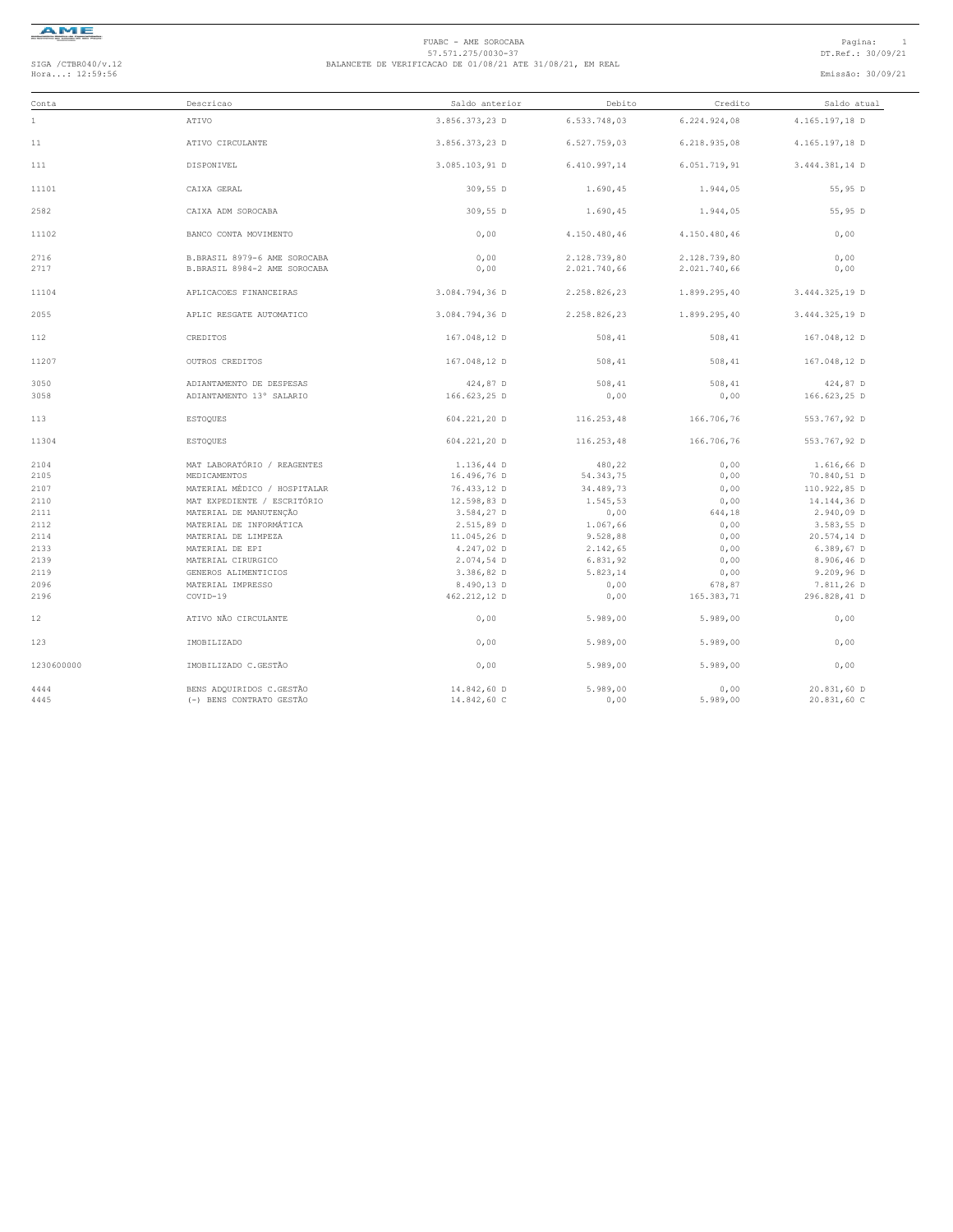

# FUABC - AME SOROCABA<br>57.571.275/0030-37<br>Hora...: 12:59:56 DT.Ref.: 30/09/21 BALANCETE DE VERIFICACAO DE 01/08/21 ATE 31/08/21, EM REAL<br>Hora...: 12:59:56 Emissão: 30/09/21

| Conta        | Descricao                                                    | Saldo anterior | Debito       | Credito      | Saldo atual    |  |
|--------------|--------------------------------------------------------------|----------------|--------------|--------------|----------------|--|
| $1\,$        | ATIVO                                                        | 3.856.373,23 D | 6.533.748,03 | 6.224.924,08 | 4.165.197,18 D |  |
| 11           | ATIVO CIRCULANTE                                             | 3.856.373,23 D | 6.527.759,03 | 6.218.935,08 | 4.165.197,18 D |  |
| 111          | DISPONIVEL                                                   | 3.085.103,91 D | 6.410.997,14 | 6.051.719,91 | 3.444.381,14 D |  |
| 11101        | CATXA GERAL                                                  | 309,55 D       | 1.690,45     | 1.944,05     | 55,95 D        |  |
| 2582         | CAIXA ADM SOROCABA                                           | 309,55 D       | 1.690,45     | 1.944,05     | 55,95 D        |  |
| 11102        | BANCO CONTA MOVIMENTO                                        | 0,00           | 4.150.480,46 | 4.150.480,46 | 0,00           |  |
| 2716<br>2717 | B.BRASIL 8979-6 AME SOROCABA<br>B.BRASIL 8984-2 AME SOROCABA | 0,00           | 2.128.739,80 | 2.128.739,80 | 0,00           |  |
|              |                                                              | 0,00           | 2.021.740,66 | 2.021.740,66 | 0,00           |  |
| 11104        | APLICACOES FINANCEIRAS                                       | 3.084.794.36 D | 2.258.826.23 | 1.899.295,40 | 3.444.325,19 D |  |
| 2055         | APLIC RESGATE AUTOMATICO                                     | 3.084.794.36 D | 2.258.826.23 | 1.899.295.40 | 3.444.325.19 D |  |
| 112          | CREDITOS                                                     | 167.048,12 D   | 508,41       | 508,41       | 167.048,12 D   |  |
| 11207        | OUTROS CREDITOS                                              | 167.048,12 D   | 508,41       | 508,41       | 167.048,12 D   |  |
| 3050         | ADIANTAMENTO DE DESPESAS                                     | 424,87 D       | 508,41       | 508,41       | 424,87 D       |  |
| 3058         | ADIANTAMENTO 13° SALARIO                                     | 166.623,25 D   | 0,00         | 0,00         | 166.623,25 D   |  |
| 113          | <b>ESTOOUES</b>                                              | 604.221,20 D   | 116,253,48   | 166,706,76   | 553.767,92 D   |  |
| 11304        | <b>ESTOQUES</b>                                              | 604.221,20 D   | 116.253,48   | 166.706,76   | 553.767,92 D   |  |
| 2104         | MAT LABORATÓRIO / REAGENTES                                  | 1.136,44 D     | 480,22       | 0,00         | 1.616,66 D     |  |
| 2105         | MEDICAMENTOS                                                 | 16.496,76 D    | 54.343,75    | 0,00         | 70.840,51 D    |  |
| 2107         | MATERIAL MÉDICO / HOSPITALAR                                 | 76.433,12 D    | 34.489,73    | 0,00         | 110.922,85 D   |  |
| 2110         | MAT EXPEDIENTE / ESCRITÓRIO                                  | 12.598,83 D    | 1.545,53     | 0,00         | 14.144,36 D    |  |
| 2111         | MATERIAL DE MANUTENÇÃO                                       | 3.584,27 D     | 0,00         | 644,18       | 2.940,09 D     |  |
| 2112         | MATERIAL DE INFORMÁTICA                                      | 2.515,89 D     | 1.067,66     | 0,00         | 3.583,55 D     |  |
| 2114         | MATERIAL DE LIMPEZA                                          | 11.045,26 D    | 9.528,88     | 0,00         | 20.574,14 D    |  |
| 2133         | MATERIAL DE EPI                                              | 4.247.02 D     | 2.142.65     | 0.00         | 6.389,67 D     |  |
| 2139         | MATERIAL CIRURGICO                                           | 2.074,54 D     | 6.831,92     | 0,00         | 8.906,46 D     |  |
| 2119         | GENEROS ALIMENTICIOS                                         | 3.386,82 D     | 5.823,14     | 0,00         | 9.209,96 D     |  |
| 2096         | MATERIAL IMPRESSO                                            | 8.490,13 D     | 0,00         | 678,87       | 7.811,26 D     |  |
| 2196         | COVID-19                                                     | 462.212,12 D   | 0,00         | 165.383,71   | 296.828,41 D   |  |
| 12           | ATIVO NÃO CIRCULANTE                                         | 0.00           | 5.989.00     | 5.989.00     | 0,00           |  |
| 123          | IMOBILIZADO                                                  | 0,00           | 5.989,00     | 5.989,00     | 0,00           |  |
| 1230600000   | IMOBILIZADO C.GESTÃO                                         | 0.00           | 5.989.00     | 5.989,00     | 0,00           |  |
| 4444         | BENS ADQUIRIDOS C.GESTÃO                                     | 14.842,60 D    | 5.989,00     | 0,00         | 20.831,60 D    |  |
| 4445         | (-) BENS CONTRATO GESTÃO                                     | 14.842,60 C    | 0,00         | 5.989,00     | 20.831,60 C    |  |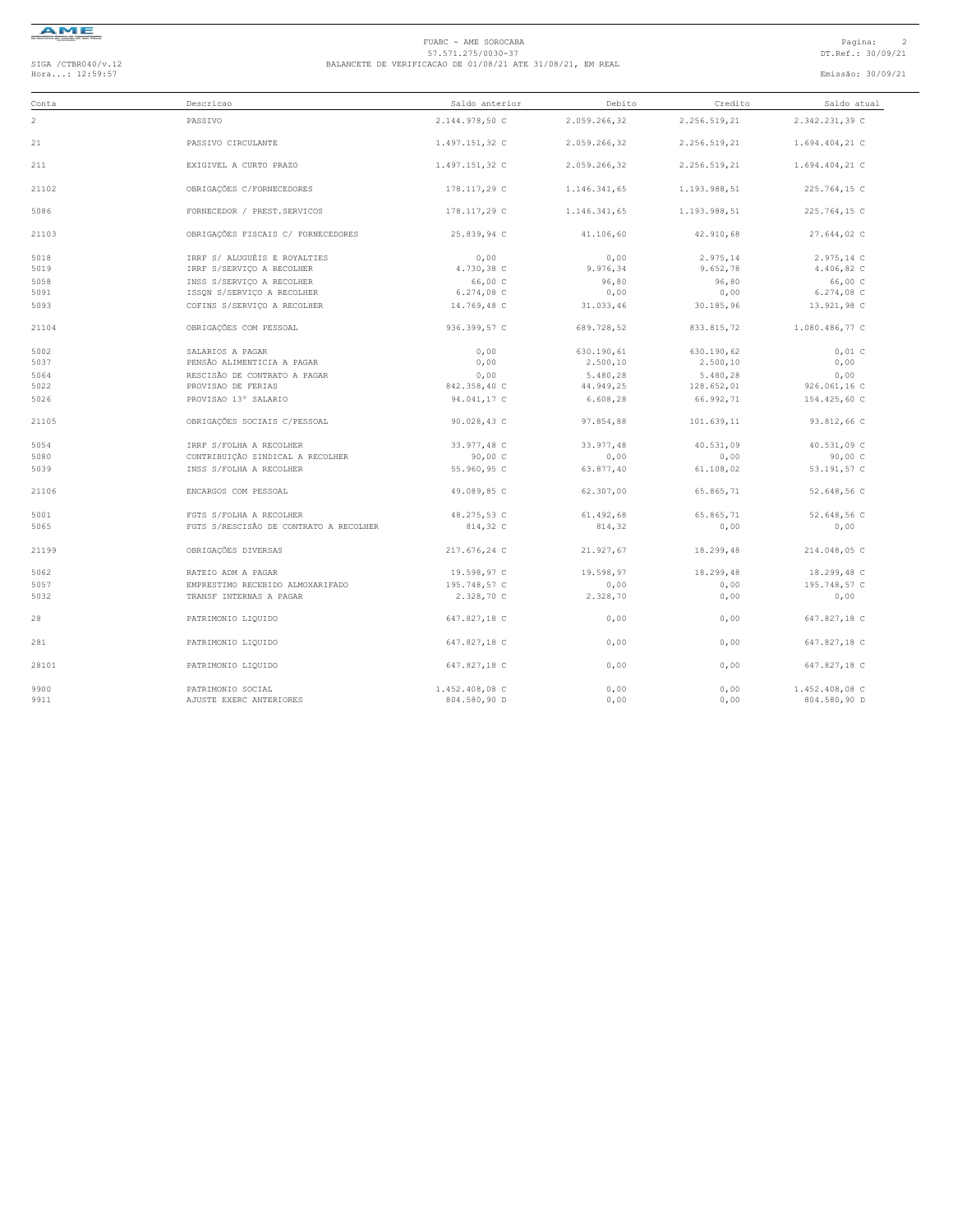

# FUABC - AME SOROCABA<br>57.571.275/0030-37<br>Hora...: 12:59:57 DT.Ref.: 30/09/21 BALANCETE DE VERIFICACAO DE 01/08/21 ATE 31/08/21, EM REAL<br>Hora...: 12:59:57 Emissão: 30/09/21

| Conta | Descricao                              | Saldo anterior | Debito       | Credito      | Saldo atual    |
|-------|----------------------------------------|----------------|--------------|--------------|----------------|
| 2     | PASSIVO                                | 2.144.978,50 C | 2.059.266.32 | 2.256.519.21 | 2.342.231,39 C |
| 21    | PASSIVO CIRCULANTE                     | 1.497.151,32 C | 2.059.266,32 | 2.256.519,21 | 1.694.404,21 C |
| 211   | EXIGIVEL A CURTO PRAZO                 | 1.497.151,32 C | 2.059.266,32 | 2.256.519,21 | 1.694.404,21 C |
| 21102 | OBRIGAÇÕES C/FORNECEDORES              | 178.117,29 C   | 1.146.341,65 | 1.193.988,51 | 225.764,15 C   |
| 5086  | FORNECEDOR / PREST.SERVICOS            | 178.117,29 C   | 1.146.341,65 | 1.193.988,51 | 225.764,15 C   |
| 21103 | OBRIGAÇÕES FISCAIS C/ FORNECEDORES     | 25.839.94 C    | 41,106,60    | 42.910.68    | 27.644,02 C    |
| 5018  | IRRF S/ ALUGUÉIS E ROYALTIES           | 0,00           | 0,00         | 2.975,14     | 2.975,14 C     |
| 5019  | IRRF S/SERVICO A RECOLHER              | 4.730,38 C     | 9.976,34     | 9.652,78     | 4.406,82 C     |
| 5058  | INSS S/SERVICO A RECOLHER              | 66,00 C        | 96,80        | 96,80        | 66,00 C        |
| 5091  | ISSON S/SERVICO A RECOLHER             | 6.274,08 C     | 0,00         | 0,00         | 6.274,08 C     |
| 5093  | COFINS S/SERVICO A RECOLHER            | 14.769,48 C    | 31.033,46    | 30.185,96    | 13.921,98 C    |
| 21104 | OBRIGAÇÕES COM PESSOAL                 | 936.399,57 C   | 689.728,52   | 833.815,72   | 1.080.486,77 C |
| 5002  | SALARIOS A PAGAR                       | 0,00           | 630.190,61   | 630.190,62   | $0,01$ C       |
| 5037  | PENSÃO ALIMENTICIA A PAGAR             | 0,00           | 2.500,10     | 2.500, 10    | 0,00           |
| 5064  | RESCISÃO DE CONTRATO A PAGAR           | 0,00           | 5.480,28     | 5.480,28     | 0,00           |
| 5022  | PROVISAO DE FERIAS                     | 842.358,40 C   | 44.949,25    | 128.652,01   | 926.061,16 C   |
| 5026  | PROVISAO 13° SALARIO                   | 94.041,17 C    | 6.608,28     | 66.992,71    | 154.425,60 C   |
| 21105 | OBRIGAÇÕES SOCIAIS C/PESSOAL           | 90.028,43 C    | 97.854,88    | 101.639,11   | 93.812,66 C    |
| 5054  | IRRF S/FOLHA A RECOLHER                | 33.977,48 C    | 33.977,48    | 40.531.09    | 40.531,09 C    |
| 5080  | CONTRIBUIÇÃO SINDICAL A RECOLHER       | 90,00C         | 0,00         | 0,00         | 90,00 C        |
| 5039  | INSS S/FOLHA A RECOLHER                | 55.960,95 C    | 63.877,40    | 61.108,02    | 53.191,57 C    |
| 21106 | ENCARGOS COM PESSOAL                   | 49.089,85 C    | 62.307,00    | 65.865,71    | 52.648,56 C    |
| 5001  | FGTS S/FOLHA A RECOLHER                | 48.275,53 C    | 61.492,68    | 65.865,71    | 52.648,56 C    |
| 5065  | FGTS S/RESCISÃO DE CONTRATO A RECOLHER | 814,32 C       | 814,32       | 0,00         | 0,00           |
| 21199 | OBRIGAÇÕES DIVERSAS                    | 217.676,24 C   | 21.927,67    | 18.299,48    | 214.048,05 C   |
| 5062  | RATEIO ADM A PAGAR                     | 19.598,97 C    | 19.598,97    | 18.299,48    | 18.299,48 C    |
| 5057  | EMPRESTIMO RECEBIDO ALMOXARIFADO       | 195.748,57 C   | 0,00         | 0,00         | 195.748,57 C   |
| 5032  | TRANSF INTERNAS A PAGAR                | 2.328,70 C     | 2.328,70     | 0,00         | 0,00           |
| 28    | PATRIMONIO LIQUIDO                     | 647.827,18 C   | 0,00         | 0,00         | 647.827,18 C   |
| 281   | PATRIMONIO LIQUIDO                     | 647.827,18 C   | 0,00         | 0,00         | 647.827,18 C   |
| 28101 | PATRIMONIO LIQUIDO                     | 647.827,18 C   | 0,00         | 0,00         | 647.827,18 C   |
| 9900  | PATRIMONIO SOCIAL                      | 1.452.408,08 C | 0.00         | 0,00         | 1.452.408.08 C |
| 9911  | AJUSTE EXERC ANTERIORES                | 804.580,90 D   | 0,00         | 0,00         | 804.580,90 D   |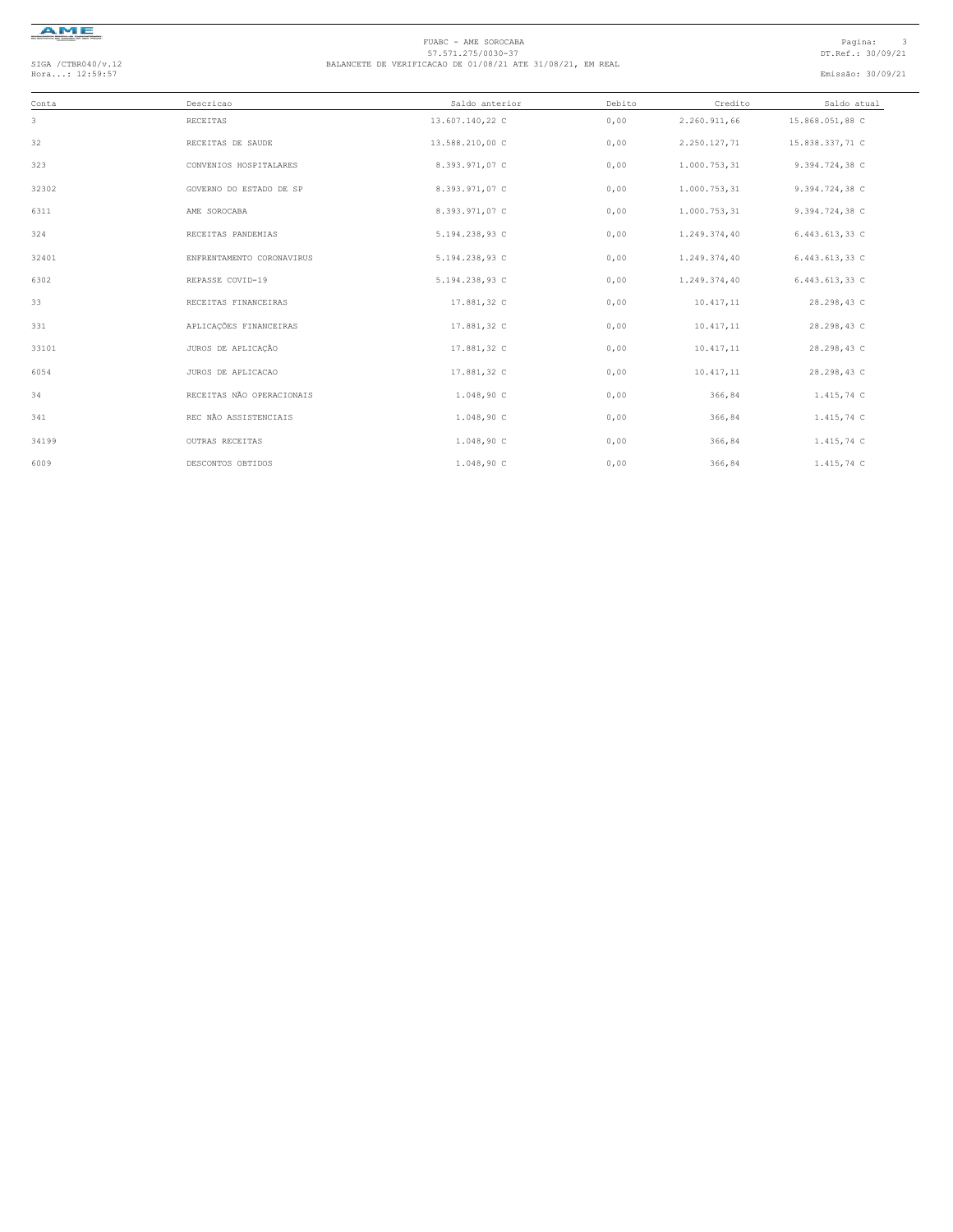

# FUABC - AME SOROCABA<br>57.571.275/0030-37<br>Hora...: 12:59:57 DT.Ref.: 30/09/21 BALANCETE DE VERIFICACAO DE 01/08/21 ATE 31/08/21, EM REAL<br>Hora...: 12:59:57 Emissão: 30/09/21

| Conta | Descricao                 | Saldo anterior  | Debito | Credito      | Saldo atual     |
|-------|---------------------------|-----------------|--------|--------------|-----------------|
| 3     | RECEITAS                  | 13.607.140,22 C | 0,00   | 2.260.911,66 | 15.868.051,88 C |
| 32    | RECEITAS DE SAUDE         | 13.588.210,00 C | 0,00   | 2.250.127,71 | 15.838.337,71 C |
| 323   | CONVENIOS HOSPITALARES    | 8.393.971,07 C  | 0,00   | 1.000.753,31 | 9.394.724,38 C  |
| 32302 | GOVERNO DO ESTADO DE SP   | 8.393.971,07 C  | 0,00   | 1.000.753,31 | 9.394.724,38 C  |
| 6311  | AME SOROCABA              | 8.393.971,07 C  | 0,00   | 1.000.753,31 | 9.394.724,38 C  |
| 324   | RECEITAS PANDEMIAS        | 5.194.238,93 C  | 0,00   | 1.249.374,40 | 6.443.613,33 C  |
| 32401 | ENFRENTAMENTO CORONAVIRUS | 5.194.238,93 C  | 0,00   | 1.249.374,40 | 6.443.613,33 C  |
| 6302  | REPASSE COVID-19          | 5.194.238,93 C  | 0,00   | 1.249.374,40 | 6.443.613,33 C  |
| 33    | RECEITAS FINANCEIRAS      | 17.881,32 C     | 0,00   | 10.417,11    | 28.298,43 C     |
| 331   | APLICAÇÕES FINANCEIRAS    | 17.881,32 C     | 0,00   | 10.417,11    | 28.298,43 C     |
| 33101 | JUROS DE APLICAÇÃO        | 17.881,32 C     | 0,00   | 10.417,11    | 28.298,43 C     |
| 6054  | JUROS DE APLICACAO        | 17.881,32 C     | 0,00   | 10.417,11    | 28.298,43 C     |
| 34    | RECEITAS NÃO OPERACIONAIS | 1.048,90 C      | 0,00   | 366,84       | 1.415,74 C      |
| 341   | REC NÃO ASSISTENCIAIS     | 1.048,90 C      | 0,00   | 366,84       | 1.415,74 C      |
| 34199 | OUTRAS RECEITAS           | 1.048,90 C      | 0,00   | 366,84       | 1.415,74 C      |
| 6009  | DESCONTOS OBTIDOS         | 1.048,90C       | 0,00   | 366,84       | 1.415,74 C      |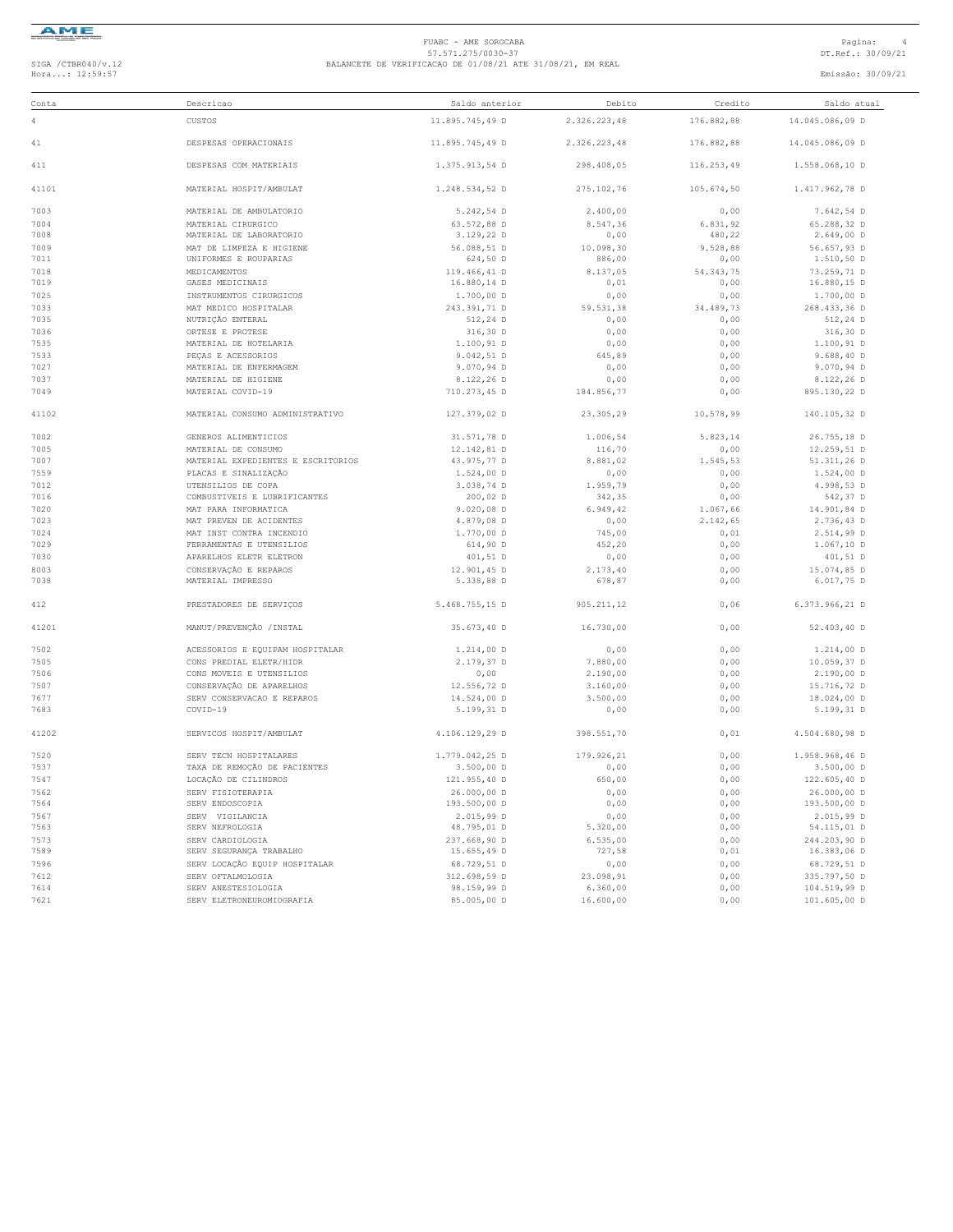

### FUABC - AME SOROCABA<br>57.571.275/0030-37<br>Hora...: 12:59:57 DT.Ref.: 30/09/21 BALANCETE DE VERIFICACAO DE 01/08/21 ATE 31/08/21, EM REAL<br>Hora...: 12:59:57 Emissão: 30/09/21

| Conta        | Descricao                                                | Saldo anterior              | Debito             | Credito           | Saldo atual                 |
|--------------|----------------------------------------------------------|-----------------------------|--------------------|-------------------|-----------------------------|
| 4            | CUSTOS                                                   | 11.895.745,49 D             | 2.326.223,48       | 176.882,88        | 14.045.086,09 D             |
| 41           | DESPESAS OPERACIONAIS                                    | 11.895.745,49 D             | 2.326.223,48       | 176.882,88        | 14.045.086,09 D             |
| 411          | DESPESAS COM MATERIAIS                                   | 1.375.913,54 D              | 298.408,05         | 116.253,49        | 1.558.068,10 D              |
| 41101        | MATERIAL HOSPIT/AMBULAT                                  | 1.248.534,52 D              | 275.102,76         | 105.674,50        | 1.417.962,78 D              |
| 7003         | MATERIAL DE AMBULATORIO                                  | 5.242,54 D                  | 2.400,00           | 0,00              | 7.642,54 D                  |
| 7004         | MATERIAL CIRURGICO                                       | 63.572,88 D                 | 8.547,36           | 6.831,92          | 65.288,32 D                 |
| 7008         | MATERIAL DE LABORATORIO                                  | 3.129,22 D                  | 0,00               | 480,22            | $2.649,00$ D                |
| 7009         | MAT DE LIMPEZA E HIGIENE                                 | 56.088,51 D                 | 10.098,30          | 9.528,88          | 56.657,93 D                 |
| 7011         | UNIFORMES E ROUPARIAS                                    | 624,50 D                    | 886,00             | 0,00              | 1.510,50 D                  |
| 7018<br>7019 | MEDICAMENTOS<br>GASES MEDICINAIS                         | 119.466,41 D<br>16.880,14 D | 8.137,05<br>0,01   | 54.343,75<br>0,00 | 73.259,71 D<br>16.880,15 D  |
| 7025         | INSTRUMENTOS CIRURGICOS                                  | 1.700,00 D                  | 0,00               | 0,00              | $1.700,00$ D                |
| 7033         | MAT MEDICO HOSPITALAR                                    | 243.391,71 D                | 59.531,38          | 34.489,73         | 268.433,36 D                |
| 7035         | NUTRIÇÃO ENTERAL                                         | 512,24 D                    | 0,00               | 0,00              | 512,24 D                    |
| 7036         | ORTESE E PROTESE                                         | 316,30 D                    | 0,00               | 0,00              | 316,30 D                    |
| 7535         | MATERIAL DE HOTELARIA                                    | 1.100,91 D                  | 0,00               | 0,00              | 1.100,91 D                  |
| 7533         | PECAS E ACESSORIOS                                       | $9.042, 51$ D               | 645,89             | 0,00              | 9.688, 40 D                 |
| 7027         | MATERIAL DE ENFERMAGEM                                   | 9.070,94 D                  | 0,00               | 0,00              | 9.070,94 D                  |
| 7037         | MATERIAL DE HIGIENE                                      | 8.122,26 D                  | 0,00               | 0,00              | 8.122,26 D                  |
| 7049         | MATERIAL COVID-19                                        | 710.273,45 D                | 184.856,77         | 0,00              | 895.130,22 D                |
| 41102        | MATERIAL CONSUMO ADMINISTRATIVO                          | 127.379,02 D                | 23.305,29          | 10.578,99         | 140.105,32 D                |
| 7002         | GENEROS ALIMENTICIOS                                     | 31.571,78 D                 | 1.006,54           | 5.823,14          | 26.755,18 D                 |
| 7005         | MATERIAL DE CONSUMO                                      | 12.142,81 D                 | 116,70             | 0,00              | 12.259,51 D                 |
| 7007         | MATERIAL EXPEDIENTES E ESCRITORIOS                       | 43.975,77 D                 | 8.881,02           | 1.545,53          | 51.311,26 D                 |
| 7559         | PLACAS E SINALIZAÇÃO                                     | $1.524,00$ D                | 0,00               | 0,00              | $1.524,00$ D                |
| 7012         | UTENSILIOS DE COPA                                       | 3.038,74 D                  | 1.959,79           | 0,00              | 4.998,53 D                  |
| 7016         | COMBUSTIVEIS E LUBRIFICANTES                             | 200,02 D                    | 342,35             | 0,00              | 542,37 D                    |
| 7020         | MAT PARA INFORMATICA                                     | $9.020,08$ D                | 6.949,42           | 1.067,66          | 14.901.84 D                 |
| 7023         | MAT PREVEN DE ACIDENTES                                  | 4.879,08 D                  | 0,00               | 2.142,65          | 2.736,43 D                  |
| 7024         | MAT INST CONTRA INCENDIO                                 | 1.770,00 D                  | 745,00             | 0,01              | 2.514,99 D                  |
| 7029         | FERRAMENTAS E UTENSILIOS                                 | 614,90 D                    | 452,20             | 0,00              | $1.067, 10$ D               |
| 7030         | APARELHOS ELETR ELETRON                                  | 401,51 D                    | 0,00               | 0,00              | 401,51 D                    |
| 8003         | CONSERVAÇÃO E REPAROS                                    | 12.901,45 D                 | 2.173, 40          | 0,00              | 15.074,85 D                 |
| 7038         | MATERIAL IMPRESSO                                        | 5.338,88 D                  | 678,87             | 0,00              | 6.017,75 D                  |
| 412          | PRESTADORES DE SERVIÇOS                                  | 5.468.755,15 D              | 905.211,12         | 0,06              | 6.373.966,21 D              |
| 41201        | MANUT/PREVENÇÃO / INSTAL                                 | 35.673,40 D                 | 16.730,00          | 0,00              | 52.403,40 D                 |
| 7502         | ACESSORIOS E EQUIPAM HOSPITALAR                          | $1.214,00$ D                | 0,00               | 0,00              | $1.214,00$ D                |
| 7505         | CONS PREDIAL ELETR/HIDR                                  | 2.179,37 D                  | 7.880,00           | 0,00              | 10.059,37 D                 |
| 7506         | CONS MOVEIS E UTENSILIOS                                 | 0,00                        | 2.190,00           | 0,00              | $2.190,00$ D                |
| 7507         | CONSERVAÇÃO DE APARELHOS                                 | 12.556,72 D                 | 3.160,00           | 0,00              | 15.716,72 D                 |
| 7677         | SERV CONSERVACAO E REPAROS                               | 14.524,00 D                 | 3.500,00           | 0,00              | 18.024,00 D                 |
| 7683         | COVID-19                                                 | 5.199,31 D                  | 0,00               | 0,00              | 5.199,31 D                  |
| 41202        | SERVICOS HOSPIT/AMBULAT                                  | 4.106.129,29 D              | 398.551,70         | 0,01              | 4.504.680,98 D              |
| 7520         | SERV TECN HOSPITALARES                                   | 1.779.042,25 D              | 179.926.21         | 0,00              | 1.958.968,46 D              |
| 7537         | TAXA DE REMOÇÃO DE PACIENTES                             | $3.500,00$ D                | 0,00               | 0,00              | $3.500,00$ D                |
| 7547         | LOCAÇÃO DE CILINDROS                                     | 121.955,40 D                | 650,00             | 0,00              | 122.605,40 D                |
| 7562         | SERV FISIOTERAPIA                                        | 26.000,00 D                 | 0,00               | 0,00              | 26.000,00 D                 |
| 7564         | SERV ENDOSCOPIA                                          | 193.500,00 D                | 0,00               | 0,00              | 193.500,00 D                |
| 7567         | SERV VIGILANCIA                                          | 2.015,99 D                  | 0,00               | 0,00              | 2.015,99 D                  |
| 7563         | SERV NEFROLOGIA                                          | 48.795,01 D                 | 5.320,00           | 0,00              | 54.115,01 D                 |
| 7573<br>7589 | SERV CARDIOLOGIA                                         | 237.668,90 D                | 6.535,00<br>727,58 | 0,00              | 244.203,90 D                |
|              | SERV SEGURANÇA TRABALHO<br>SERV LOCAÇÃO EQUIP HOSPITALAR | 15.655,49 D                 |                    | 0,01              | 16.383,06 D                 |
| 7596<br>7612 | SERV OFTALMOLOGIA                                        | 68.729,51 D<br>312.698,59 D | 0,00<br>23.098,91  | 0,00<br>0,00      | 68.729,51 D<br>335.797,50 D |
| 7614         | SERV ANESTESIOLOGIA                                      | 98.159,99 D                 | 6.360,00           | 0,00              | 104.519,99 D                |
| 7621         | SERV ELETRONEUROMIOGRAFIA                                | 85.005,00 D                 | 16.600,00          | 0,00              | 101.605,00 D                |
|              |                                                          |                             |                    |                   |                             |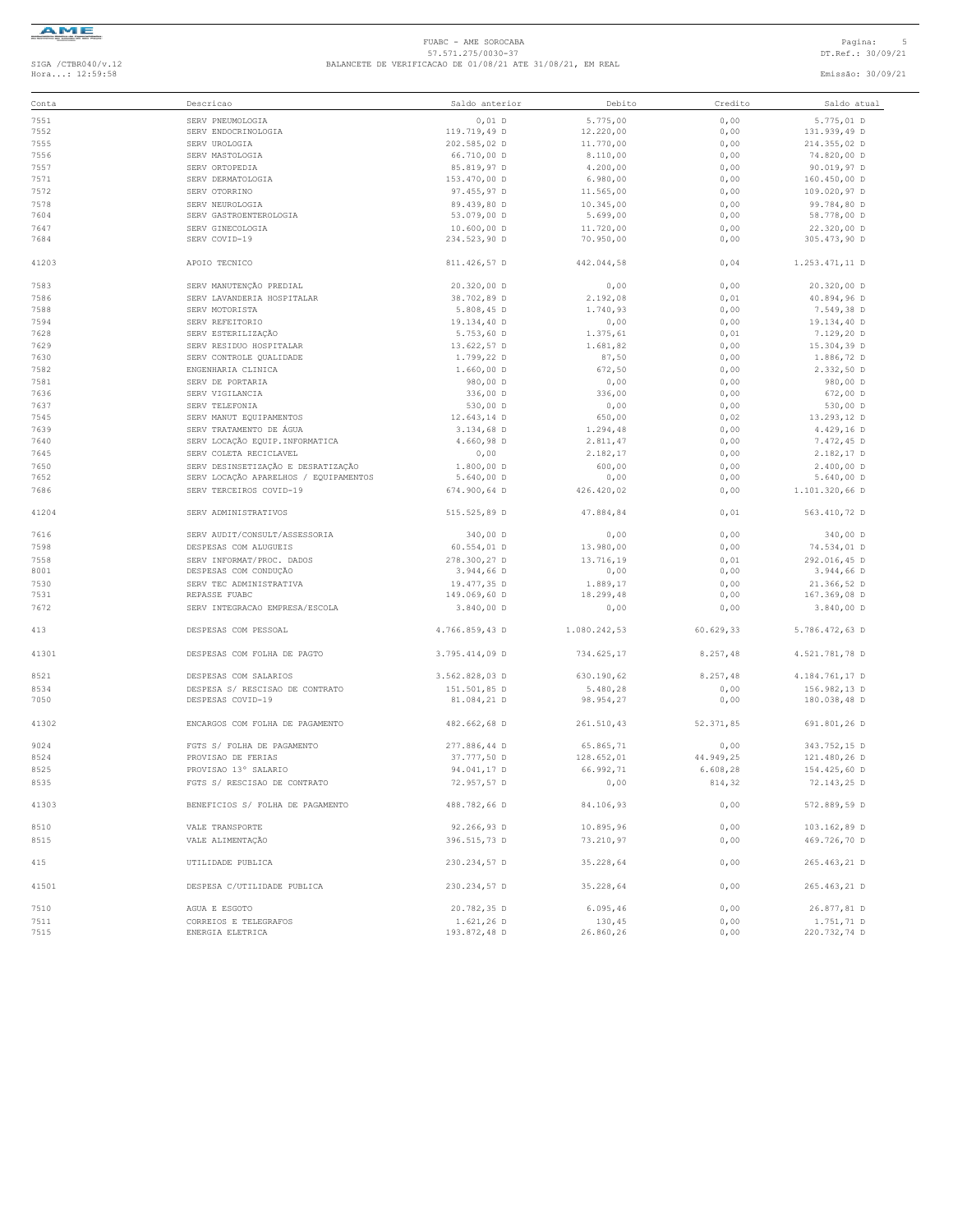

#### FUABC - AME SOROCABA<br>57.571.275/0030-37<br>Hora...: 12:59:58 DT.Ref.: 30/09/21 BALANCETE DE VERIFICACAO DE 01/08/21 ATE 31/08/21, EM REAL<br>Hora...: 12:59:58 Emissão: 30/09/21

| Conta | Descricao                             | Saldo anterior | Debito       | Credito   | Saldo atual    |
|-------|---------------------------------------|----------------|--------------|-----------|----------------|
| 7551  | SERV PNEUMOLOGIA                      | $0,01$ D       | 5.775,00     | 0,00      | 5.775,01 D     |
| 7552  | SERV ENDOCRINOLOGIA                   | 119.719,49 D   | 12.220,00    | 0,00      | 131.939,49 D   |
| 7555  |                                       |                |              |           |                |
|       | SERV UROLOGIA                         | 202.585,02 D   | 11.770,00    | 0,00      | 214.355,02 D   |
| 7556  | SERV MASTOLOGIA                       | 66.710,00 D    | 8.110,00     | 0,00      | 74.820,00 D    |
| 7557  | SERV ORTOPEDIA                        | 85.819,97 D    | 4.200,00     | 0,00      | 90.019,97 D    |
| 7571  | SERV DERMATOLOGIA                     | 153.470,00 D   | 6.980,00     | 0,00      | 160.450,00 D   |
| 7572  | SERV OTORRINO                         | 97.455,97 D    | 11.565,00    | 0,00      | 109.020,97 D   |
| 7578  | SERV NEUROLOGIA                       | 89.439,80 D    | 10.345,00    | 0,00      | 99.784,80 D    |
| 7604  | SERV GASTROENTEROLOGIA                | 53.079,00 D    | 5.699,00     | 0,00      | 58.778,00 D    |
| 7647  | SERV GINECOLOGIA                      | 10.600,00 D    | 11.720,00    | 0,00      | 22.320,00 D    |
| 7684  | SERV COVID-19                         | 234.523,90 D   | 70.950,00    | 0,00      | 305.473,90 D   |
| 41203 | APOIO TECNICO                         | 811.426,57 D   | 442.044,58   | 0,04      | 1.253.471,11 D |
| 7583  | SERV MANUTENÇÃO PREDIAL               | 20.320,00 D    | 0,00         | 0,00      | 20.320,00 D    |
| 7586  | SERV LAVANDERIA HOSPITALAR            | 38.702,89 D    | 2.192,08     | 0,01      | 40.894,96 D    |
| 7588  | SERV MOTORISTA                        | 5.808,45 D     | 1.740,93     | 0,00      | 7.549,38 D     |
| 7594  | SERV REFEITORIO                       | 19.134,40 D    | 0,00         | 0,00      | 19.134,40 D    |
| 7628  | SERV ESTERILIZAÇÃO                    | 5.753,60 D     | 1.375,61     | 0,01      | 7.129,20 D     |
|       |                                       |                |              |           |                |
| 7629  | SERV RESIDUO HOSPITALAR               | 13.622,57 D    | 1.681,82     | 0,00      | 15.304,39 D    |
| 7630  | SERV CONTROLE QUALIDADE               | 1.799,22 D     | 87,50        | 0,00      | 1.886,72 D     |
| 7582  | ENGENHARIA CLINICA                    | $1.660,00$ D   | 672,50       | 0,00      | 2.332,50 D     |
| 7581  | SERV DE PORTARIA                      | 980,00 D       | 0,00         | 0,00      | 980,00 D       |
| 7636  | SERV VIGILANCIA                       | 336,00 D       | 336,00       | 0,00      | 672,00 D       |
| 7637  | SERV TELEFONIA                        | 530,00 D       | 0,00         | 0,00      | 530,00 D       |
| 7545  | SERV MANUT EOUIPAMENTOS               | 12.643,14 D    | 650,00       | 0,02      | 13,293,12 D    |
| 7639  | SERV TRATAMENTO DE ÁGUA               | 3.134,68 D     | 1.294,48     | 0,00      | 4.429,16 D     |
| 7640  | SERV LOCAÇÃO EQUIP. INFORMATICA       | 4.660,98 D     | 2.811,47     | 0,00      | 7.472,45 D     |
| 7645  | SERV COLETA RECICLAVEL                | 0,00           | 2.182,17     | 0,00      | 2.182,17 D     |
|       | SERV DESINSETIZAÇÃO E DESRATIZAÇÃO    |                |              |           |                |
| 7650  |                                       | 1.800,00 D     | 600,00       | 0,00      | 2.400,00 D     |
| 7652  | SERV LOCAÇÃO APARELHOS / EQUIPAMENTOS | $5.640,00$ D   | 0,00         | 0,00      | $5.640,00$ D   |
| 7686  | SERV TERCEIROS COVID-19               | 674.900,64 D   | 426.420.02   | 0,00      | 1.101.320,66 D |
| 41204 | SERV ADMINISTRATIVOS                  | 515.525,89 D   | 47.884,84    | 0,01      | 563.410,72 D   |
| 7616  | SERV AUDIT/CONSULT/ASSESSORIA         | 340,00 D       | 0,00         | 0,00      | 340,00 D       |
| 7598  | DESPESAS COM ALUGUEIS                 | 60.554,01 D    | 13.980,00    | 0,00      | 74.534,01 D    |
| 7558  | SERV INFORMAT/PROC. DADOS             | 278.300,27 D   | 13.716,19    | 0,01      | 292.016,45 D   |
| 8001  | DESPESAS COM CONDUÇÃO                 | 3.944,66 D     | 0,00         | 0,00      | 3.944,66 D     |
|       | SERV TEC ADMINISTRATIVA               | 19.477,35 D    |              |           |                |
| 7530  |                                       |                | 1.889,17     | 0,00      | 21.366,52 D    |
| 7531  | REPASSE FUABC                         | 149.069,60 D   | 18.299,48    | 0,00      | 167.369,08 D   |
| 7672  | SERV INTEGRACAO EMPRESA/ESCOLA        | $3.840,00$ D   | 0,00         | 0,00      | $3.840,00$ D   |
| 413   | DESPESAS COM PESSOAL                  | 4.766.859,43 D | 1.080.242,53 | 60.629,33 | 5.786.472,63 D |
| 41301 | DESPESAS COM FOLHA DE PAGTO           | 3.795.414,09 D | 734.625,17   | 8.257,48  | 4.521.781,78 D |
| 8521  | DESPESAS COM SALARIOS                 | 3.562.828,03 D | 630.190,62   | 8.257,48  | 4.184.761,17 D |
| 8534  | DESPESA S/ RESCISAO DE CONTRATO       | 151.501,85 D   | 5.480,28     | 0,00      | 156.982,13 D   |
| 7050  | DESPESAS COVID-19                     | 81.084,21 D    | 98.954,27    | 0,00      | 180.038,48 D   |
| 41302 | ENCARGOS COM FOLHA DE PAGAMENTO       | 482.662,68 D   | 261.510,43   | 52.371,85 | 691.801,26 D   |
| 9024  | FGTS S/ FOLHA DE PAGAMENTO            | 277.886,44 D   | 65.865.71    | 0,00      | 343.752,15 D   |
| 8524  | PROVISAO DE FERIAS                    | 37.777,50 D    | 128.652,01   | 44.949,25 | 121.480,26 D   |
| 8525  | PROVISAO 13° SALARIO                  | 94.041,17 D    | 66.992,71    | 6.608,28  | 154.425,60 D   |
| 8535  | FGTS S/ RESCISAO DE CONTRATO          | 72.957,57 D    | 0,00         | 814,32    | 72.143,25 D    |
| 41303 | BENEFICIOS S/ FOLHA DE PAGAMENTO      | 488.782,66 D   | 84.106,93    | 0,00      | 572.889,59 D   |
|       |                                       |                |              |           |                |
| 8510  | VALE TRANSPORTE                       | 92.266,93 D    | 10.895,96    | 0,00      | 103.162,89 D   |
| 8515  | VALE ALIMENTAÇÃO                      | 396.515,73 D   | 73.210,97    | 0,00      | 469.726,70 D   |
| 415   | UTILIDADE PUBLICA                     | 230.234,57 D   | 35.228,64    | 0,00      | 265.463,21 D   |
| 41501 | DESPESA C/UTILIDADE PUBLICA           | 230.234,57 D   | 35.228,64    | 0,00      | 265.463,21 D   |
| 7510  | AGUA E ESGOTO                         | 20.782,35 D    | 6.095, 46    | 0,00      | 26.877,81 D    |
|       |                                       |                |              |           |                |
| 7511  | CORREIOS E TELEGRAFOS                 | $1.621, 26$ D  | 130,45       | 0,00      | 1.751,71 D     |
| 7515  | ENERGIA ELETRICA                      | 193.872,48 D   | 26.860,26    | 0,00      | 220.732,74 D   |